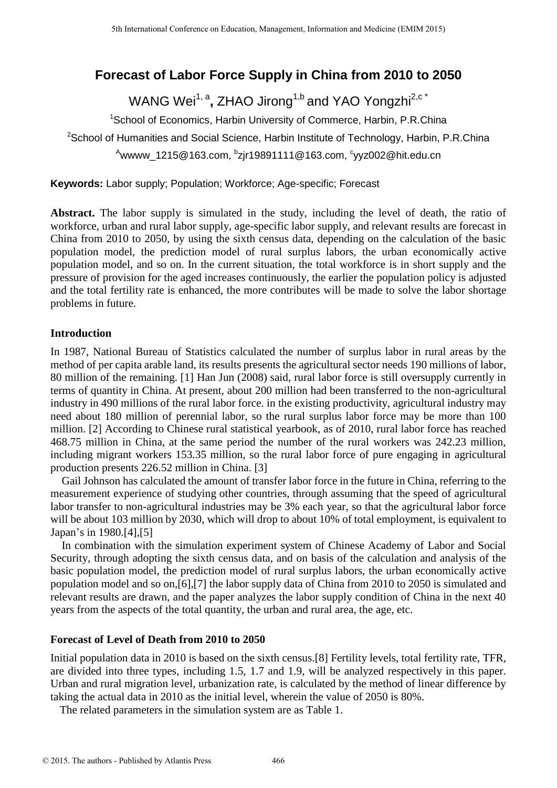# **Forecast of Labor Force Supply in China from 2010 to 2050**

WANG Wei<sup>1, a</sup>, ZHAO Jirong<sup>1,b</sup> and YAO Yongzhi<sup>2,c\*</sup>

<sup>1</sup>School of Economics, Harbin University of Commerce, Harbin, P.R.China <sup>2</sup>School of Humanities and Social Science, Harbin Institute of Technology, Harbin, P.R.China <sup>A</sup>wwww\_1215@163.com, <sup>b</sup>zjr19891111@163.com, <sup>c</sup>yyz002@hit.edu.cn

**Keywords:** Labor supply; Population; Workforce; Age-specific; Forecast

**Abstract.** The labor supply is simulated in the study, including the level of death, the ratio of workforce, urban and rural labor supply, age-specific labor supply, and relevant results are forecast in China from 2010 to 2050, by using the sixth census data, depending on the calculation of the basic population model, the prediction model of rural surplus labors, the urban economically active population model, and so on. In the current situation, the total workforce is in short supply and the pressure of provision for the aged increases continuously, the earlier the population policy is adjusted and the total fertility rate is enhanced, the more contributes will be made to solve the labor shortage problems in future.

# **Introduction**

In 1987, National Bureau of Statistics calculated the number of surplus labor in rural areas by the method of per capita arable land, its results presents the agricultural sector needs 190 millions of labor, 80 million of the remaining. [1] Han Jun (2008) said, rural labor force is still oversupply currently in terms of quantity in China. At present, about 200 million had been transferred to the non-agricultural industry in 490 millions of the rural labor force. in the existing productivity, agricultural industry may need about 180 million of perennial labor, so the rural surplus labor force may be more than 100 million. [2] According to Chinese rural statistical yearbook, as of 2010, rural labor force has reached 468.75 million in China, at the same period the number of the rural workers was 242.23 million, including migrant workers 153.35 million, so the rural labor force of pure engaging in agricultural production presents 226.52 million in China. [3]

Gail Johnson has calculated the amount of transfer labor force in the future in China, referring to the measurement experience of studying other countries, through assuming that the speed of agricultural labor transfer to non-agricultural industries may be 3% each year, so that the agricultural labor force will be about 103 million by 2030, which will drop to about 10% of total employment, is equivalent to Japan's in 1980.[4],[5]

In combination with the simulation experiment system of Chinese Academy of Labor and Social Security, through adopting the sixth census data, and on basis of the calculation and analysis of the basic population model, the prediction model of rural surplus labors, the urban economically active population model and so on,[6],[7] the labor supply data of China from 2010 to 2050 is simulated and relevant results are drawn, and the paper analyzes the labor supply condition of China in the next 40 years from the aspects of the total quantity, the urban and rural area, the age, etc.

# **Forecast of Level of Death from 2010 to 2050**

Initial population data in 2010 is based on the sixth census.[8] Fertility levels, total fertility rate, TFR, are divided into three types, including 1.5, 1.7 and 1.9, will be analyzed respectively in this paper. Urban and rural migration level, urbanization rate, is calculated by the method of linear difference by taking the actual data in 2010 as the initial level, wherein the value of 2050 is 80%.

The related parameters in the simulation system are as Table 1.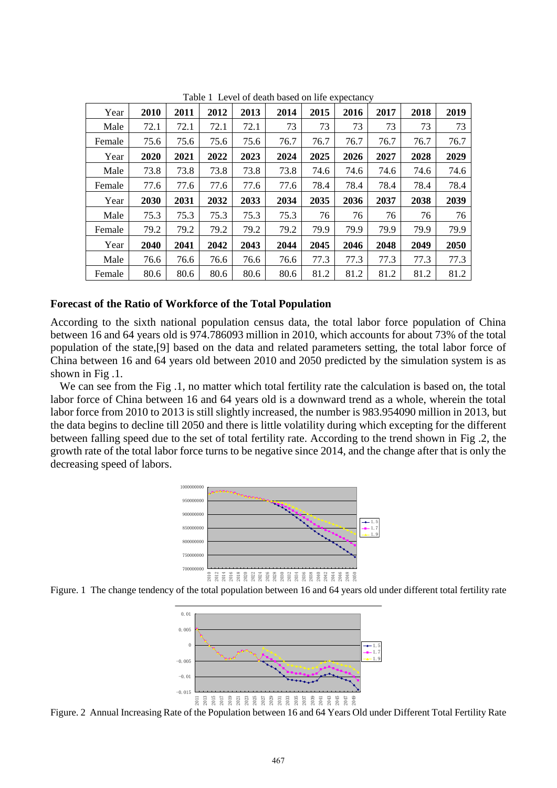| Year   | 2010 | 2011 | 2012 | 2013 | 2014 | 2015 | 2016 | 2017 | 2018 | 2019 |
|--------|------|------|------|------|------|------|------|------|------|------|
| Male   | 72.1 | 72.1 | 72.1 | 72.1 | 73   | 73   | 73   | 73   | 73   | 73   |
| Female | 75.6 | 75.6 | 75.6 | 75.6 | 76.7 | 76.7 | 76.7 | 76.7 | 76.7 | 76.7 |
| Year   | 2020 | 2021 | 2022 | 2023 | 2024 | 2025 | 2026 | 2027 | 2028 | 2029 |
| Male   | 73.8 | 73.8 | 73.8 | 73.8 | 73.8 | 74.6 | 74.6 | 74.6 | 74.6 | 74.6 |
| Female | 77.6 | 77.6 | 77.6 | 77.6 | 77.6 | 78.4 | 78.4 | 78.4 | 78.4 | 78.4 |
| Year   | 2030 | 2031 | 2032 | 2033 | 2034 | 2035 | 2036 | 2037 | 2038 | 2039 |
| Male   | 75.3 | 75.3 | 75.3 | 75.3 | 75.3 | 76   | 76   | 76   | 76   | 76   |
| Female | 79.2 | 79.2 | 79.2 | 79.2 | 79.2 | 79.9 | 79.9 | 79.9 | 79.9 | 79.9 |
| Year   | 2040 | 2041 | 2042 | 2043 | 2044 | 2045 | 2046 | 2048 | 2049 | 2050 |
| Male   | 76.6 | 76.6 | 76.6 | 76.6 | 76.6 | 77.3 | 77.3 | 77.3 | 77.3 | 77.3 |
| Female | 80.6 | 80.6 | 80.6 | 80.6 | 80.6 | 81.2 | 81.2 | 81.2 | 81.2 | 81.2 |

Table 1 Level of death based on life expectancy

## **Forecast of the Ratio of Workforce of the Total Population**

According to the sixth national population census data, the total labor force population of China between 16 and 64 years old is 974.786093 million in 2010, which accounts for about 73% of the total population of the state,[9] based on the data and related parameters setting, the total labor force of China between 16 and 64 years old between 2010 and 2050 predicted by the simulation system is as shown in Fig .1.

We can see from the Fig .1, no matter which total fertility rate the calculation is based on, the total labor force of China between 16 and 64 years old is a downward trend as a whole, wherein the total labor force from 2010 to 2013 is still slightly increased, the number is 983.954090 million in 2013, but the data begins to decline till 2050 and there is little volatility during which excepting for the different between falling speed due to the set of total fertility rate. According to the trend shown in Fig .2, the growth rate of the total labor force turns to be negative since 2014, and the change after that is only the decreasing speed of labors.



Figure. 1 The change tendency of the total population between 16 and 64 years old under different total fertility rate



Figure. 2 Annual Increasing Rate of the Population between 16 and 64 Years Old under Different Total Fertility Rate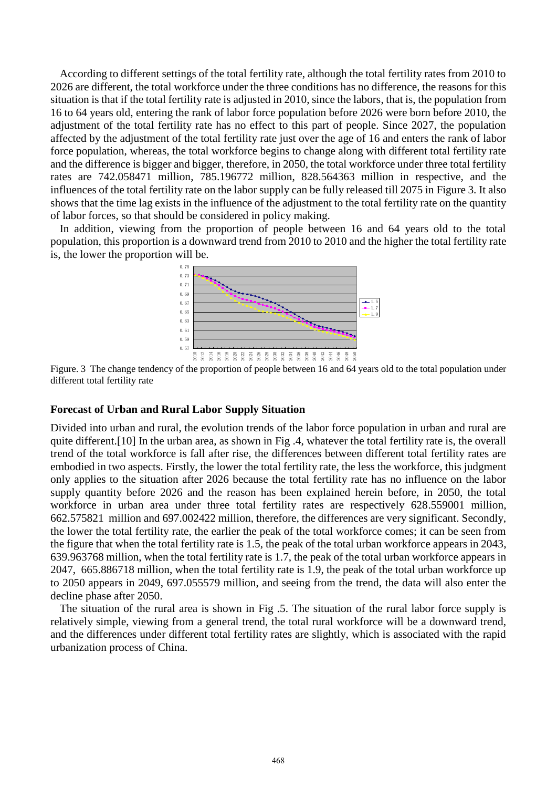According to different settings of the total fertility rate, although the total fertility rates from 2010 to 2026 are different, the total workforce under the three conditions has no difference, the reasons for this situation is that if the total fertility rate is adjusted in 2010, since the labors, that is, the population from 16 to 64 years old, entering the rank of labor force population before 2026 were born before 2010, the adjustment of the total fertility rate has no effect to this part of people. Since 2027, the population affected by the adjustment of the total fertility rate just over the age of 16 and enters the rank of labor force population, whereas, the total workforce begins to change along with different total fertility rate and the difference is bigger and bigger, therefore, in 2050, the total workforce under three total fertility rates are 742.058471 million, 785.196772 million, 828.564363 million in respective, and the influences of the total fertility rate on the labor supply can be fully released till 2075 in Figure 3. It also shows that the time lag exists in the influence of the adjustment to the total fertility rate on the quantity of labor forces, so that should be considered in policy making.

In addition, viewing from the proportion of people between 16 and 64 years old to the total population, this proportion is a downward trend from 2010 to 2010 and the higher the total fertility rate is, the lower the proportion will be.



Figure. 3 The change tendency of the proportion of people between 16 and 64 years old to the total population under different total fertility rate

#### **Forecast of Urban and Rural Labor Supply Situation**

Divided into urban and rural, the evolution trends of the labor force population in urban and rural are quite different.[10] In the urban area, as shown in Fig .4, whatever the total fertility rate is, the overall trend of the total workforce is fall after rise, the differences between different total fertility rates are embodied in two aspects. Firstly, the lower the total fertility rate, the less the workforce, this judgment only applies to the situation after 2026 because the total fertility rate has no influence on the labor supply quantity before 2026 and the reason has been explained herein before, in 2050, the total workforce in urban area under three total fertility rates are respectively 628.559001 million, 662.575821 million and 697.002422 million, therefore, the differences are very significant. Secondly, the lower the total fertility rate, the earlier the peak of the total workforce comes; it can be seen from the figure that when the total fertility rate is 1.5, the peak of the total urban workforce appears in 2043, 639.963768 million, when the total fertility rate is 1.7, the peak of the total urban workforce appears in 2047, 665.886718 million, when the total fertility rate is 1.9, the peak of the total urban workforce up to 2050 appears in 2049, 697.055579 million, and seeing from the trend, the data will also enter the decline phase after 2050.

The situation of the rural area is shown in Fig .5. The situation of the rural labor force supply is relatively simple, viewing from a general trend, the total rural workforce will be a downward trend, and the differences under different total fertility rates are slightly, which is associated with the rapid urbanization process of China.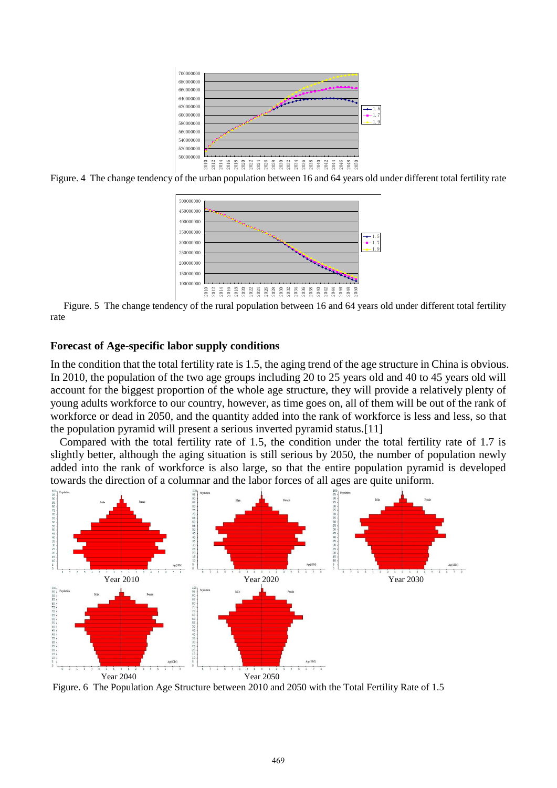

Figure. 4 The change tendency of the urban population between 16 and 64 years old under different total fertility rate



Figure. 5 The change tendency of the rural population between 16 and 64 years old under different total fertility rate

#### **Forecast of Age-specific labor supply conditions**

In the condition that the total fertility rate is 1.5, the aging trend of the age structure in China is obvious. In 2010, the population of the two age groups including 20 to 25 years old and 40 to 45 years old will account for the biggest proportion of the whole age structure, they will provide a relatively plenty of young adults workforce to our country, however, as time goes on, all of them will be out of the rank of workforce or dead in 2050, and the quantity added into the rank of workforce is less and less, so that the population pyramid will present a serious inverted pyramid status.[11]

Compared with the total fertility rate of 1.5, the condition under the total fertility rate of 1.7 is slightly better, although the aging situation is still serious by 2050, the number of population newly added into the rank of workforce is also large, so that the entire population pyramid is developed towards the direction of a columnar and the labor forces of all ages are quite uniform.



Figure. 6 The Population Age Structure between 2010 and 2050 with the Total Fertility Rate of 1.5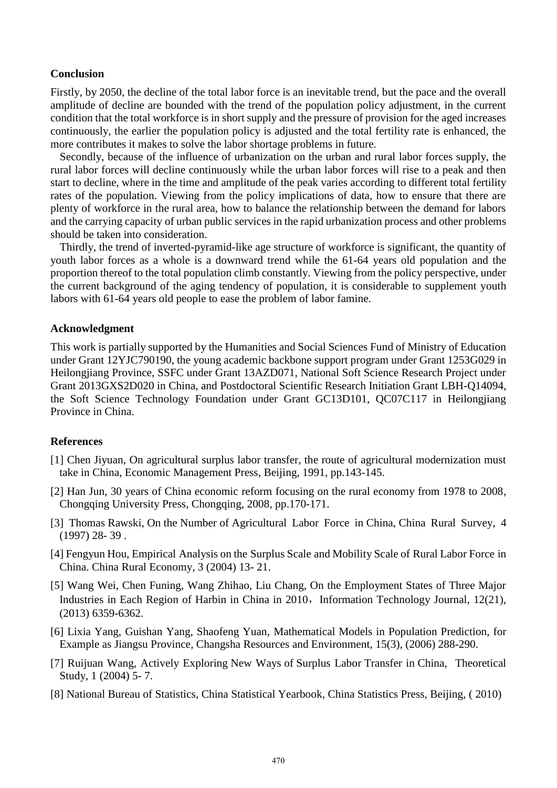## **Conclusion**

Firstly, by 2050, the decline of the total labor force is an inevitable trend, but the pace and the overall amplitude of decline are bounded with the trend of the population policy adjustment, in the current condition that the total workforce is in short supply and the pressure of provision for the aged increases continuously, the earlier the population policy is adjusted and the total fertility rate is enhanced, the more contributes it makes to solve the labor shortage problems in future.

Secondly, because of the influence of urbanization on the urban and rural labor forces supply, the rural labor forces will decline continuously while the urban labor forces will rise to a peak and then start to decline, where in the time and amplitude of the peak varies according to different total fertility rates of the population. Viewing from the policy implications of data, how to ensure that there are plenty of workforce in the rural area, how to balance the relationship between the demand for labors and the carrying capacity of urban public services in the rapid urbanization process and other problems should be taken into consideration.

Thirdly, the trend of inverted-pyramid-like age structure of workforce is significant, the quantity of youth labor forces as a whole is a downward trend while the 61-64 years old population and the proportion thereof to the total population climb constantly. Viewing from the policy perspective, under the current background of the aging tendency of population, it is considerable to supplement youth labors with 61-64 years old people to ease the problem of labor famine.

## **Acknowledgment**

This work is partially supported by the Humanities and Social Sciences Fund of Ministry of Education under Grant 12YJC790190, the young academic backbone support program under Grant 1253G029 in Heilongjiang Province, SSFC under Grant 13AZD071, National Soft Science Research Project under Grant 2013GXS2D020 in China, and Postdoctoral Scientific Research Initiation Grant LBH-Q14094, the Soft Science Technology Foundation under Grant GC13D101, QC07C117 in Heilongjiang Province in China.

#### **References**

- [1] Chen Jiyuan, On agricultural surplus labor transfer, the route of agricultural modernization must take in China, Economic Management Press, Beijing, 1991, pp.143-145.
- [2] Han Jun, 30 years of China economic reform focusing on the rural economy from 1978 to 2008, Chongqing University Press, Chongqing, 2008, pp.170-171.
- [3] Thomas Rawski, On the Number of Agricultural Labor Force in China, China Rural Survey, 4 (1997) 28- 39 .
- [4] Fengyun Hou, Empirical Analysis on the Surplus Scale and Mobility Scale of Rural Labor Force in China. China Rural Economy, 3 (2004) 13- 21.
- [5] Wang Wei, Chen Funing, Wang Zhihao, Liu Chang, On the Employment States of Three Major Industries in Each Region of Harbin in China in 2010, Information Technology Journal, 12(21), (2013) 6359-6362.
- [6] Lixia Yang, Guishan Yang, Shaofeng Yuan, Mathematical Models in Population Prediction, for Example as Jiangsu Province, Changsha Resources and Environment, 15(3), (2006) 288-290.
- [7] Ruijuan Wang, Actively Exploring New Ways of Surplus Labor Transfer in China, Theoretical Study, 1 (2004) 5- 7.
- [8] National Bureau of Statistics, China Statistical Yearbook, China Statistics Press, Beijing, ( 2010)